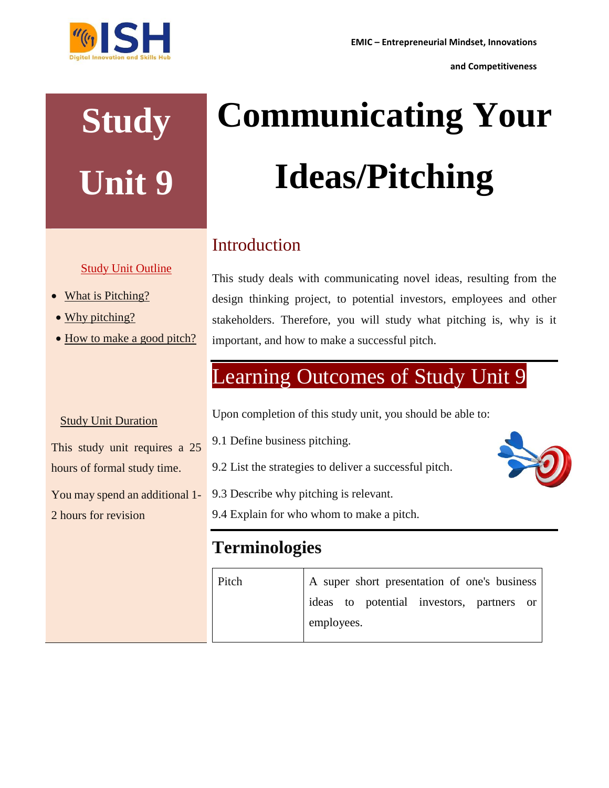**and Competitiveness**



## **Study Unit 9**

#### Study Unit Outline

- What is Pitching?
- Why pitching?
- How to make a good pitch?

# **Communicating Your Ideas/Pitching**

### Introduction

This study deals with communicating novel ideas, resulting from the design thinking project, to potential investors, employees and other stakeholders. Therefore, you will study what pitching is, why is it important, and how to make a successful pitch.

## Learning Outcomes of Study Unit 9

Upon completion of this study unit, you should be able to:

- 9.1 Define business pitching.
- 9.2 List the strategies to deliver a successful pitch.
- 9.3 Describe why pitching is relevant.
- 9.4 Explain for who whom to make a pitch.

### **Terminologies**

Pitch A super short presentation of one's business ideas to potential investors, partners or employees.

#### **Study Unit Duration**

This study unit requires a 25 hours of formal study time.

You may spend an additional 1-

2 hours for revision

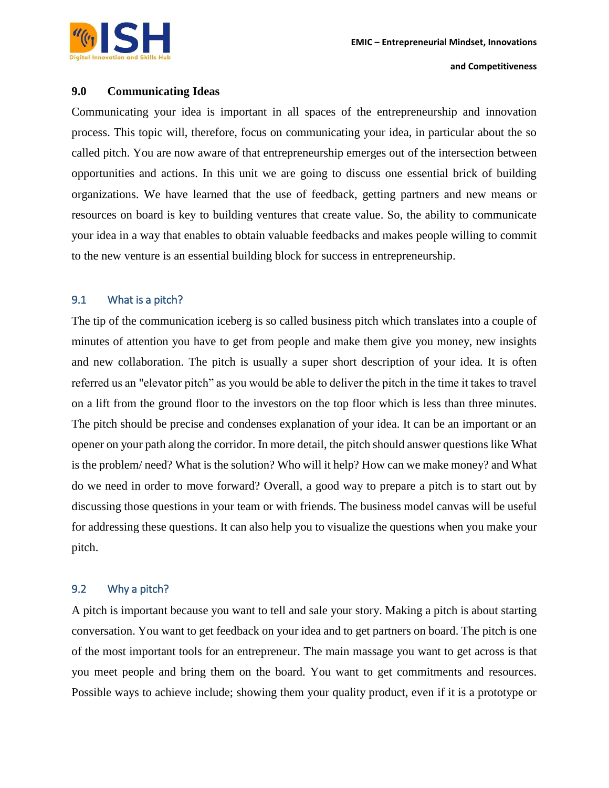**and Competitiveness**

#### **9.0 Communicating Ideas**

Communicating your idea is important in all spaces of the entrepreneurship and innovation process. This topic will, therefore, focus on communicating your idea, in particular about the so called pitch. You are now aware of that entrepreneurship emerges out of the intersection between opportunities and actions. In this unit we are going to discuss one essential brick of building organizations. We have learned that the use of feedback, getting partners and new means or resources on board is key to building ventures that create value. So, the ability to communicate your idea in a way that enables to obtain valuable feedbacks and makes people willing to commit to the new venture is an essential building block for success in entrepreneurship.

#### 9.1 What is a pitch?

The tip of the communication iceberg is so called business pitch which translates into a couple of minutes of attention you have to get from people and make them give you money, new insights and new collaboration. The pitch is usually a super short description of your idea. It is often referred us an "elevator pitch" as you would be able to deliver the pitch in the time it takes to travel on a lift from the ground floor to the investors on the top floor which is less than three minutes. The pitch should be precise and condenses explanation of your idea. It can be an important or an opener on your path along the corridor. In more detail, the pitch should answer questions like What is the problem/ need? What is the solution? Who will it help? How can we make money? and What do we need in order to move forward? Overall, a good way to prepare a pitch is to start out by discussing those questions in your team or with friends. The business model canvas will be useful for addressing these questions. It can also help you to visualize the questions when you make your pitch.

#### 9.2 Why a pitch?

A pitch is important because you want to tell and sale your story. Making a pitch is about starting conversation. You want to get feedback on your idea and to get partners on board. The pitch is one of the most important tools for an entrepreneur. The main massage you want to get across is that you meet people and bring them on the board. You want to get commitments and resources. Possible ways to achieve include; showing them your quality product, even if it is a prototype or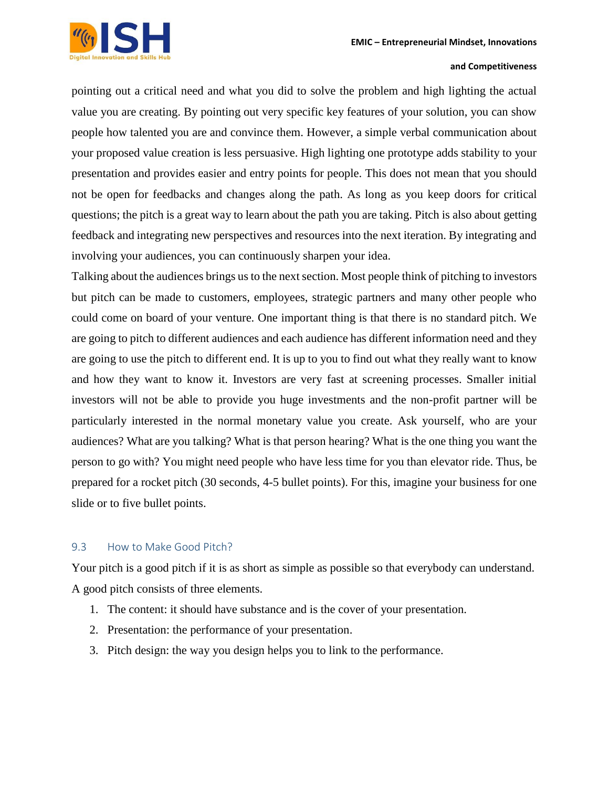

#### **and Competitiveness**

pointing out a critical need and what you did to solve the problem and high lighting the actual value you are creating. By pointing out very specific key features of your solution, you can show people how talented you are and convince them. However, a simple verbal communication about your proposed value creation is less persuasive. High lighting one prototype adds stability to your presentation and provides easier and entry points for people. This does not mean that you should not be open for feedbacks and changes along the path. As long as you keep doors for critical questions; the pitch is a great way to learn about the path you are taking. Pitch is also about getting feedback and integrating new perspectives and resources into the next iteration. By integrating and involving your audiences, you can continuously sharpen your idea.

Talking about the audiences brings us to the next section. Most people think of pitching to investors but pitch can be made to customers, employees, strategic partners and many other people who could come on board of your venture. One important thing is that there is no standard pitch. We are going to pitch to different audiences and each audience has different information need and they are going to use the pitch to different end. It is up to you to find out what they really want to know and how they want to know it. Investors are very fast at screening processes. Smaller initial investors will not be able to provide you huge investments and the non-profit partner will be particularly interested in the normal monetary value you create. Ask yourself, who are your audiences? What are you talking? What is that person hearing? What is the one thing you want the person to go with? You might need people who have less time for you than elevator ride. Thus, be prepared for a rocket pitch (30 seconds, 4-5 bullet points). For this, imagine your business for one slide or to five bullet points.

#### 9.3 How to Make Good Pitch?

Your pitch is a good pitch if it is as short as simple as possible so that everybody can understand. A good pitch consists of three elements.

- 1. The content: it should have substance and is the cover of your presentation.
- 2. Presentation: the performance of your presentation.
- 3. Pitch design: the way you design helps you to link to the performance.